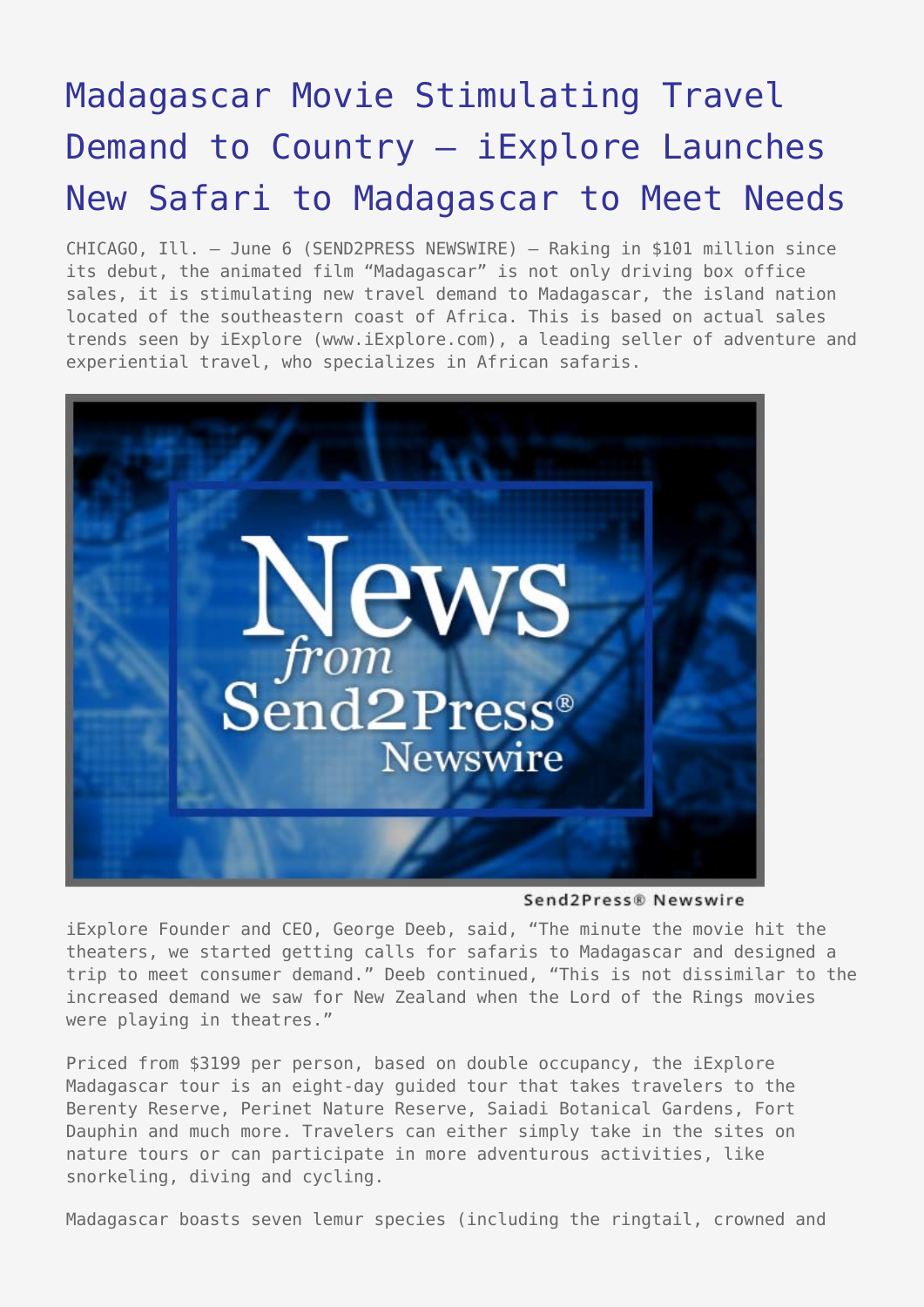## [Madagascar Movie Stimulating Travel](https://www.send2press.com/wire/2005-06-0606-006/) [Demand to Country – iExplore Launches](https://www.send2press.com/wire/2005-06-0606-006/) [New Safari to Madagascar to Meet Needs](https://www.send2press.com/wire/2005-06-0606-006/)

CHICAGO, Ill. – June 6 (SEND2PRESS NEWSWIRE) — Raking in \$101 million since its debut, the animated film "Madagascar" is not only driving box office sales, it is stimulating new travel demand to Madagascar, the island nation located of the southeastern coast of Africa. This is based on actual sales trends seen by iExplore (www.iExplore.com), a leading seller of adventure and experiential travel, who specializes in African safaris.



Send2Press® Newswire

iExplore Founder and CEO, George Deeb, said, "The minute the movie hit the theaters, we started getting calls for safaris to Madagascar and designed a trip to meet consumer demand." Deeb continued, "This is not dissimilar to the increased demand we saw for New Zealand when the Lord of the Rings movies were playing in theatres."

Priced from \$3199 per person, based on double occupancy, the iExplore Madagascar tour is an eight-day guided tour that takes travelers to the Berenty Reserve, Perinet Nature Reserve, Saiadi Botanical Gardens, Fort Dauphin and much more. Travelers can either simply take in the sites on nature tours or can participate in more adventurous activities, like snorkeling, diving and cycling.

Madagascar boasts seven lemur species (including the ringtail, crowned and